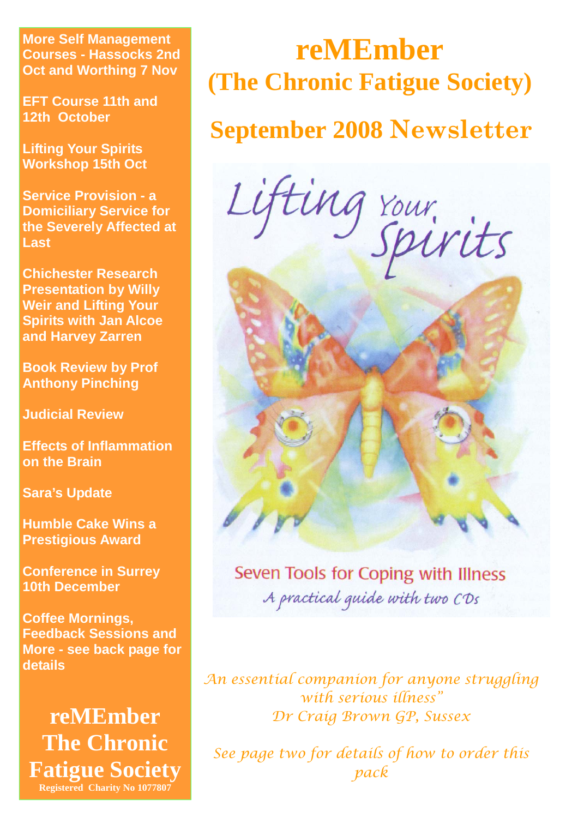**More Self Management Courses - Hassocks 2nd Oct and Worthing 7 Nov** 

**EFT Course 11th and 12th October** 

**Lifting Your Spirits Workshop 15th Oct** 

**Service Provision - a Domiciliary Service for the Severely Affected at Last** 

**Chichester Research Presentation by Willy Weir and Lifting Your Spirits with Jan Alcoe and Harvey Zarren** 

**Book Review by Prof Anthony Pinching** 

**Judicial Review** 

**Effects of Inflammation on the Brain** 

**Sara's Update** 

**Humble Cake Wins a Prestigious Award** 

**Conference in Surrey 10th December** 

**Coffee Mornings, Feedback Sessions and More - see back page for details** 

**reMEmber The Chronic Fatigue Society Registered Charity No 1077807** 

# **reMEmber (The Chronic Fatigue Society)**

### **September 2008 Newsletter**

Lifting rour.



*An essential companion for anyone struggling with serious illness" Dr Craig Brown GP, Sussex* 

*See page two for details of how to order this pack*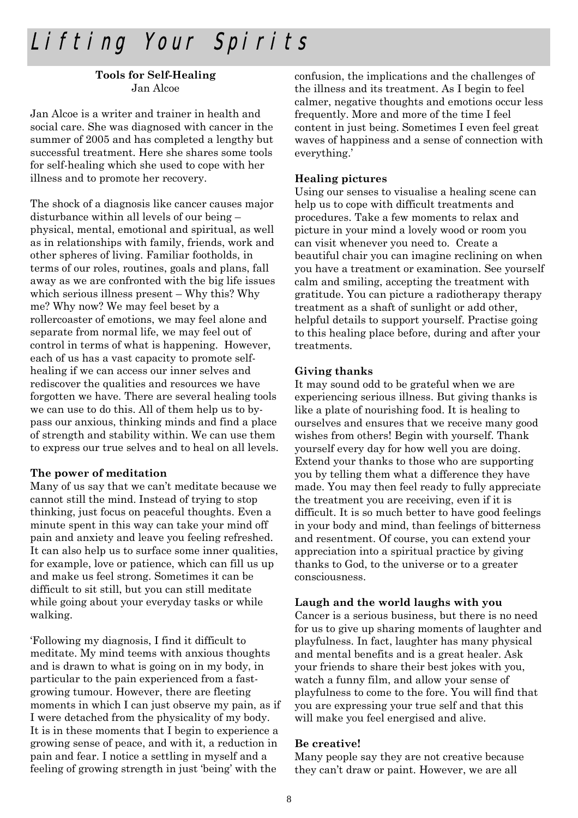### Lifting Your Spirits

#### **Tools for Self-Healing**  Jan Alcoe

Jan Alcoe is a writer and trainer in health and social care. She was diagnosed with cancer in the summer of 2005 and has completed a lengthy but successful treatment. Here she shares some tools for self-healing which she used to cope with her illness and to promote her recovery.

The shock of a diagnosis like cancer causes major disturbance within all levels of our being – physical, mental, emotional and spiritual, as well as in relationships with family, friends, work and other spheres of living. Familiar footholds, in terms of our roles, routines, goals and plans, fall away as we are confronted with the big life issues which serious illness present – Why this? Why me? Why now? We may feel beset by a rollercoaster of emotions, we may feel alone and separate from normal life, we may feel out of control in terms of what is happening. However, each of us has a vast capacity to promote selfhealing if we can access our inner selves and rediscover the qualities and resources we have forgotten we have. There are several healing tools we can use to do this. All of them help us to bypass our anxious, thinking minds and find a place of strength and stability within. We can use them to express our true selves and to heal on all levels.

#### **The power of meditation**

Many of us say that we can't meditate because we cannot still the mind. Instead of trying to stop thinking, just focus on peaceful thoughts. Even a minute spent in this way can take your mind off pain and anxiety and leave you feeling refreshed. It can also help us to surface some inner qualities, for example, love or patience, which can fill us up and make us feel strong. Sometimes it can be difficult to sit still, but you can still meditate while going about your everyday tasks or while walking.

'Following my diagnosis, I find it difficult to meditate. My mind teems with anxious thoughts and is drawn to what is going on in my body, in particular to the pain experienced from a fastgrowing tumour. However, there are fleeting moments in which I can just observe my pain, as if I were detached from the physicality of my body. It is in these moments that I begin to experience a growing sense of peace, and with it, a reduction in pain and fear. I notice a settling in myself and a feeling of growing strength in just 'being' with the

confusion, the implications and the challenges of the illness and its treatment. As I begin to feel calmer, negative thoughts and emotions occur less frequently. More and more of the time I feel content in just being. Sometimes I even feel great waves of happiness and a sense of connection with everything.'

#### **Healing pictures**

Using our senses to visualise a healing scene can help us to cope with difficult treatments and procedures. Take a few moments to relax and picture in your mind a lovely wood or room you can visit whenever you need to. Create a beautiful chair you can imagine reclining on when you have a treatment or examination. See yourself calm and smiling, accepting the treatment with gratitude. You can picture a radiotherapy therapy treatment as a shaft of sunlight or add other, helpful details to support yourself. Practise going to this healing place before, during and after your treatments.

#### **Giving thanks**

It may sound odd to be grateful when we are experiencing serious illness. But giving thanks is like a plate of nourishing food. It is healing to ourselves and ensures that we receive many good wishes from others! Begin with yourself. Thank yourself every day for how well you are doing. Extend your thanks to those who are supporting you by telling them what a difference they have made. You may then feel ready to fully appreciate the treatment you are receiving, even if it is difficult. It is so much better to have good feelings in your body and mind, than feelings of bitterness and resentment. Of course, you can extend your appreciation into a spiritual practice by giving thanks to God, to the universe or to a greater consciousness.

#### **Laugh and the world laughs with you**

Cancer is a serious business, but there is no need for us to give up sharing moments of laughter and playfulness. In fact, laughter has many physical and mental benefits and is a great healer. Ask your friends to share their best jokes with you, watch a funny film, and allow your sense of playfulness to come to the fore. You will find that you are expressing your true self and that this will make you feel energised and alive.

#### **Be creative!**

Many people say they are not creative because they can't draw or paint. However, we are all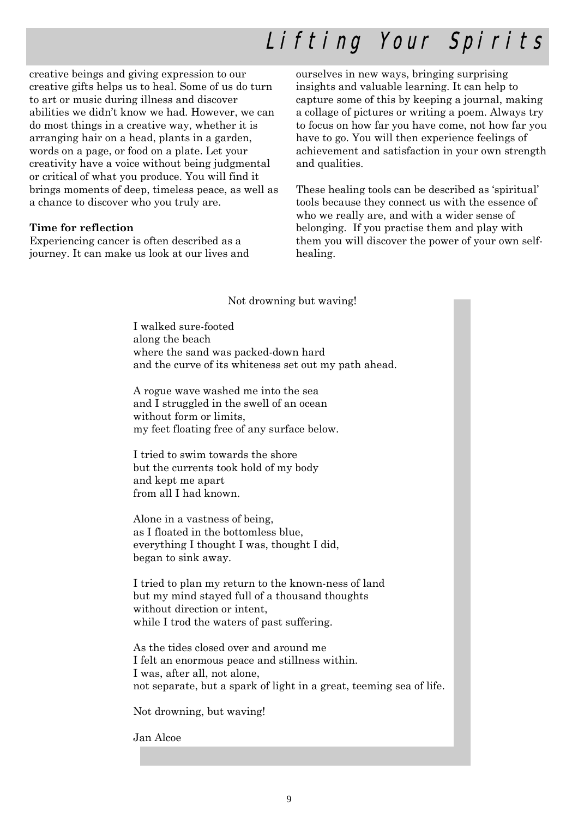## Lifting Your Spirits

creative beings and giving expression to our creative gifts helps us to heal. Some of us do turn to art or music during illness and discover abilities we didn't know we had. However, we can do most things in a creative way, whether it is arranging hair on a head, plants in a garden, words on a page, or food on a plate. Let your creativity have a voice without being judgmental or critical of what you produce. You will find it brings moments of deep, timeless peace, as well as a chance to discover who you truly are.

#### **Time for reflection**

Experiencing cancer is often described as a journey. It can make us look at our lives and ourselves in new ways, bringing surprising insights and valuable learning. It can help to capture some of this by keeping a journal, making a collage of pictures or writing a poem. Always try to focus on how far you have come, not how far you have to go. You will then experience feelings of achievement and satisfaction in your own strength and qualities.

These healing tools can be described as 'spiritual' tools because they connect us with the essence of who we really are, and with a wider sense of belonging. If you practise them and play with them you will discover the power of your own selfhealing.

#### Not drowning but waving!

I walked sure-footed along the beach where the sand was packed-down hard and the curve of its whiteness set out my path ahead.

A rogue wave washed me into the sea and I struggled in the swell of an ocean without form or limits, my feet floating free of any surface below.

I tried to swim towards the shore but the currents took hold of my body and kept me apart from all I had known.

Alone in a vastness of being, as I floated in the bottomless blue, everything I thought I was, thought I did, began to sink away.

I tried to plan my return to the known-ness of land but my mind stayed full of a thousand thoughts without direction or intent, while I trod the waters of past suffering.

As the tides closed over and around me I felt an enormous peace and stillness within. I was, after all, not alone, not separate, but a spark of light in a great, teeming sea of life.

Not drowning, but waving!

Jan Alcoe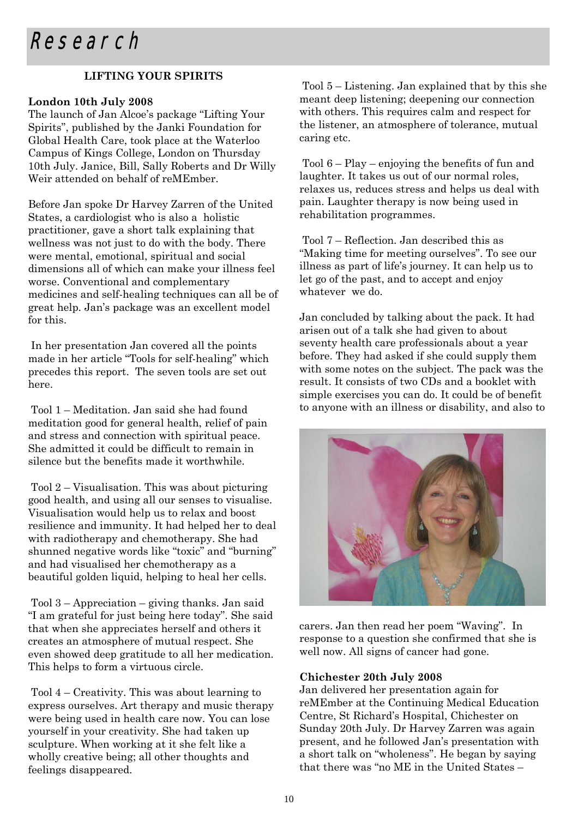#### **LIFTING YOUR SPIRITS**

#### **London 10th July 2008**

The launch of Jan Alcoe's package "Lifting Your Spirits", published by the Janki Foundation for Global Health Care, took place at the Waterloo Campus of Kings College, London on Thursday 10th July. Janice, Bill, Sally Roberts and Dr Willy Weir attended on behalf of reMEmber.

Before Jan spoke Dr Harvey Zarren of the United States, a cardiologist who is also a holistic practitioner, gave a short talk explaining that wellness was not just to do with the body. There were mental, emotional, spiritual and social dimensions all of which can make your illness feel worse. Conventional and complementary medicines and self-healing techniques can all be of great help. Jan's package was an excellent model for this.

 In her presentation Jan covered all the points made in her article "Tools for self-healing" which precedes this report. The seven tools are set out here.

 Tool 1 – Meditation. Jan said she had found meditation good for general health, relief of pain and stress and connection with spiritual peace. She admitted it could be difficult to remain in silence but the benefits made it worthwhile.

 Tool 2 – Visualisation. This was about picturing good health, and using all our senses to visualise. Visualisation would help us to relax and boost resilience and immunity. It had helped her to deal with radiotherapy and chemotherapy. She had shunned negative words like "toxic" and "burning" and had visualised her chemotherapy as a beautiful golden liquid, helping to heal her cells.

 Tool 3 – Appreciation – giving thanks. Jan said "I am grateful for just being here today". She said that when she appreciates herself and others it creates an atmosphere of mutual respect. She even showed deep gratitude to all her medication. This helps to form a virtuous circle.

 Tool 4 – Creativity. This was about learning to express ourselves. Art therapy and music therapy were being used in health care now. You can lose yourself in your creativity. She had taken up sculpture. When working at it she felt like a wholly creative being; all other thoughts and feelings disappeared.

 Tool 5 – Listening. Jan explained that by this she meant deep listening; deepening our connection with others. This requires calm and respect for the listener, an atmosphere of tolerance, mutual caring etc.

 Tool 6 – Play – enjoying the benefits of fun and laughter. It takes us out of our normal roles, relaxes us, reduces stress and helps us deal with pain. Laughter therapy is now being used in rehabilitation programmes.

 Tool 7 – Reflection. Jan described this as "Making time for meeting ourselves". To see our illness as part of life's journey. It can help us to let go of the past, and to accept and enjoy whatever we do.

Jan concluded by talking about the pack. It had arisen out of a talk she had given to about seventy health care professionals about a year before. They had asked if she could supply them with some notes on the subject. The pack was the result. It consists of two CDs and a booklet with simple exercises you can do. It could be of benefit to anyone with an illness or disability, and also to



carers. Jan then read her poem "Waving". In response to a question she confirmed that she is well now. All signs of cancer had gone.

#### **Chichester 20th July 2008**

Jan delivered her presentation again for reMEmber at the Continuing Medical Education Centre, St Richard's Hospital, Chichester on Sunday 20th July. Dr Harvey Zarren was again present, and he followed Jan's presentation with a short talk on "wholeness". He began by saying that there was "no ME in the United States –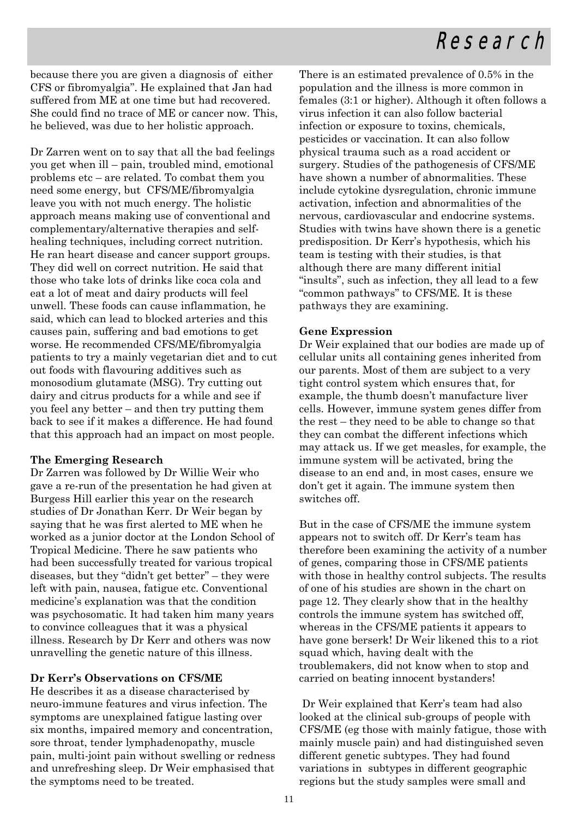### Research

because there you are given a diagnosis of either CFS or fibromyalgia". He explained that Jan had suffered from ME at one time but had recovered. She could find no trace of ME or cancer now. This, he believed, was due to her holistic approach.

Dr Zarren went on to say that all the bad feelings you get when ill – pain, troubled mind, emotional problems etc – are related. To combat them you need some energy, but CFS/ME/fibromyalgia leave you with not much energy. The holistic approach means making use of conventional and complementary/alternative therapies and selfhealing techniques, including correct nutrition. He ran heart disease and cancer support groups. They did well on correct nutrition. He said that those who take lots of drinks like coca cola and eat a lot of meat and dairy products will feel unwell. These foods can cause inflammation, he said, which can lead to blocked arteries and this causes pain, suffering and bad emotions to get worse. He recommended CFS/ME/fibromyalgia patients to try a mainly vegetarian diet and to cut out foods with flavouring additives such as monosodium glutamate (MSG). Try cutting out dairy and citrus products for a while and see if you feel any better – and then try putting them back to see if it makes a difference. He had found that this approach had an impact on most people.

#### **The Emerging Research**

Dr Zarren was followed by Dr Willie Weir who gave a re-run of the presentation he had given at Burgess Hill earlier this year on the research studies of Dr Jonathan Kerr. Dr Weir began by saying that he was first alerted to ME when he worked as a junior doctor at the London School of Tropical Medicine. There he saw patients who had been successfully treated for various tropical diseases, but they "didn't get better" – they were left with pain, nausea, fatigue etc. Conventional medicine's explanation was that the condition was psychosomatic. It had taken him many years to convince colleagues that it was a physical illness. Research by Dr Kerr and others was now unravelling the genetic nature of this illness.

#### **Dr Kerr's Observations on CFS/ME**

He describes it as a disease characterised by neuro-immune features and virus infection. The symptoms are unexplained fatigue lasting over six months, impaired memory and concentration, sore throat, tender lymphadenopathy, muscle pain, multi-joint pain without swelling or redness and unrefreshing sleep. Dr Weir emphasised that the symptoms need to be treated.

There is an estimated prevalence of 0.5% in the population and the illness is more common in females (3:1 or higher). Although it often follows a virus infection it can also follow bacterial infection or exposure to toxins, chemicals, pesticides or vaccination. It can also follow physical trauma such as a road accident or surgery. Studies of the pathogenesis of CFS/ME have shown a number of abnormalities. These include cytokine dysregulation, chronic immune activation, infection and abnormalities of the nervous, cardiovascular and endocrine systems. Studies with twins have shown there is a genetic predisposition. Dr Kerr's hypothesis, which his team is testing with their studies, is that although there are many different initial "insults", such as infection, they all lead to a few "common pathways" to CFS/ME. It is these pathways they are examining.

#### **Gene Expression**

Dr Weir explained that our bodies are made up of cellular units all containing genes inherited from our parents. Most of them are subject to a very tight control system which ensures that, for example, the thumb doesn't manufacture liver cells. However, immune system genes differ from the rest – they need to be able to change so that they can combat the different infections which may attack us. If we get measles, for example, the immune system will be activated, bring the disease to an end and, in most cases, ensure we don't get it again. The immune system then switches off.

But in the case of CFS/ME the immune system appears not to switch off. Dr Kerr's team has therefore been examining the activity of a number of genes, comparing those in CFS/ME patients with those in healthy control subjects. The results of one of his studies are shown in the chart on page 12. They clearly show that in the healthy controls the immune system has switched off, whereas in the CFS/ME patients it appears to have gone berserk! Dr Weir likened this to a riot squad which, having dealt with the troublemakers, did not know when to stop and carried on beating innocent bystanders!

 Dr Weir explained that Kerr's team had also looked at the clinical sub-groups of people with CFS/ME (eg those with mainly fatigue, those with mainly muscle pain) and had distinguished seven different genetic subtypes. They had found variations in subtypes in different geographic regions but the study samples were small and